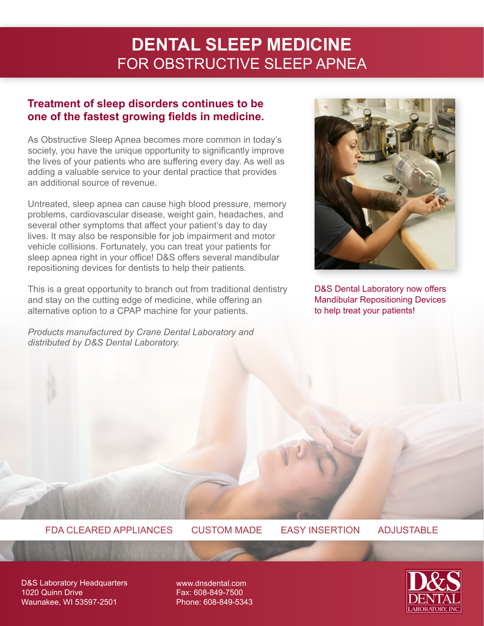# **DENTAL SLEEP MEDICINE** FOR OBSTRUCTIVE SLEEP APNEA

## **Treatment of sleep disorders continues to be one of the fastest growing fields in medicine.**

As Obstructive Sleep Apnea becomes more common in today's society, you have the unique opportunity to significantly improve the lives of your patients who are suffering every day. As well as adding a valuable service to your dental practice that provides an additional source of revenue.

Untreated, sleep apnea can cause high blood pressure, memory problems, cardiovascular disease, weight gain, headaches, and several other symptoms that affect your patient's day to day lives. It may also be responsible for job impairment and motor vehicle collisions. Fortunately, you can treat your patients for sleep apnea right in your office! D&S offers several mandibular repositioning devices for dentists to help their patients.

This is a great opportunity to branch out from traditional dentistry and stay on the cutting edge of medicine, while offering an alternative option to a CPAP machine for your patients.

*Products manufactured by Crane Dental Laboratory and distributed by D&S Dental Laboratory.*



D&S Dental Laboratory now offers Mandibular Repositioning Devices to help treat your patients!

### FDA CLEARED APPLIANCES CUSTOM MADE EASY INSERTION ADJUSTABLE

D&S Laboratory Headquarters 1020 Quinn Drive Waunakee, WI 53597-2501

www.dnsdental.com Fax: 608-849-7500 Phone: 608-849-5343